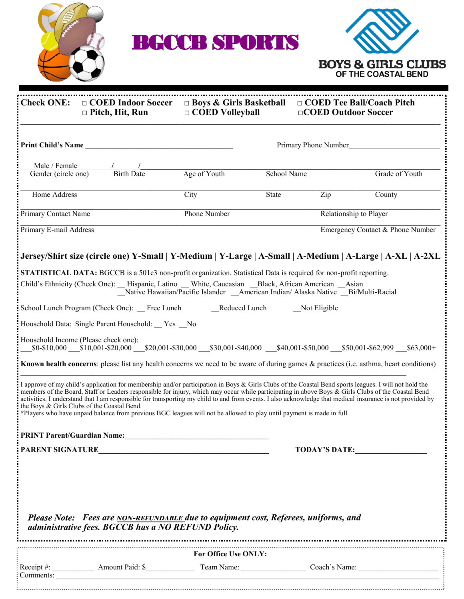

BGCCB SPORTS



| Check ONE: $\Box$ COED Indoor Soccer $\Box$ Boys & Girls Basketball<br>$\Box$ Pitch, Hit, Run                                                                                                                                                                                                                                                                                                                                                                                                                                                                                                                                                   | $\Box$ COED Volleyball |                                  | □COED Outdoor Soccer   | □ COED Tee Ball/Coach Pitch |
|-------------------------------------------------------------------------------------------------------------------------------------------------------------------------------------------------------------------------------------------------------------------------------------------------------------------------------------------------------------------------------------------------------------------------------------------------------------------------------------------------------------------------------------------------------------------------------------------------------------------------------------------------|------------------------|----------------------------------|------------------------|-----------------------------|
| Print Child's Name<br>Primary Phone Number                                                                                                                                                                                                                                                                                                                                                                                                                                                                                                                                                                                                      |                        |                                  |                        |                             |
| Male / Female<br>$\frac{1}{1}$ Birth Date<br>Gender (circle one)                                                                                                                                                                                                                                                                                                                                                                                                                                                                                                                                                                                | Age of Youth           | School Name                      |                        | Grade of Youth              |
| <b>Home Address</b>                                                                                                                                                                                                                                                                                                                                                                                                                                                                                                                                                                                                                             | City                   | State                            | Zip                    | County                      |
| Primary Contact Name                                                                                                                                                                                                                                                                                                                                                                                                                                                                                                                                                                                                                            | <b>Phone Number</b>    |                                  | Relationship to Player |                             |
| Primary E-mail Address                                                                                                                                                                                                                                                                                                                                                                                                                                                                                                                                                                                                                          |                        | Emergency Contact & Phone Number |                        |                             |
| Jersey/Shirt size (circle one) Y-Small   Y-Medium   Y-Large   A-Small   A-Medium   A-Large   A-XL   A-2XL                                                                                                                                                                                                                                                                                                                                                                                                                                                                                                                                       |                        |                                  |                        |                             |
| <b>STATISTICAL DATA:</b> BGCCB is a 501c3 non-profit organization. Statistical Data is required for non-profit reporting.                                                                                                                                                                                                                                                                                                                                                                                                                                                                                                                       |                        |                                  |                        |                             |
| Child's Ethnicity (Check One): Hispanic, Latino White, Caucasian Black, African American Asian<br>Native Hawaiian/Pacific Islander American Indian/ Alaska Native Bi/Multi-Racial                                                                                                                                                                                                                                                                                                                                                                                                                                                               |                        |                                  |                        |                             |
| School Lunch Program (Check One): Free Lunch Reduced Lunch<br>Not Eligible                                                                                                                                                                                                                                                                                                                                                                                                                                                                                                                                                                      |                        |                                  |                        |                             |
| Household Data: Single Parent Household: Yes No                                                                                                                                                                                                                                                                                                                                                                                                                                                                                                                                                                                                 |                        |                                  |                        |                             |
| Household Income (Please check one):<br>$\_\$0-\$10,000$ $\_\$10,001-\$20,000$ $\_\$20,001-\$30,000$ $\_\$30,001-\$40,000$ $\_\$40,001-\$50,000$ $\_\$50,001-\$62,999$ $\_\$63,000+$                                                                                                                                                                                                                                                                                                                                                                                                                                                            |                        |                                  |                        |                             |
| Known health concerns: please list any health concerns we need to be aware of during games & practices (i.e. asthma, heart conditions)                                                                                                                                                                                                                                                                                                                                                                                                                                                                                                          |                        |                                  |                        |                             |
| I approve of my child's application for membership and/or participation in Boys & Girls Clubs of the Coastal Bend sports leagues. I will not hold the<br>members of the Board, Staff or Leaders responsible for injury, which may occur while participating in above Boys & Girls Clubs of the Coastal Bend<br>activities. I understand that I am responsible for transporting my child to and from events. I also acknowledge that medical insurance is not provided by<br>the Boys & Girls Clubs of the Coastal Bend.<br>*Players who have unpaid balance from previous BGC leagues will not be allowed to play until payment is made in full |                        |                                  |                        |                             |
|                                                                                                                                                                                                                                                                                                                                                                                                                                                                                                                                                                                                                                                 |                        |                                  |                        |                             |
|                                                                                                                                                                                                                                                                                                                                                                                                                                                                                                                                                                                                                                                 |                        |                                  |                        | <b>TODAY'S DATE:</b>        |
| Please Note: Fees are NON-REFUNDABLE due to equipment cost, Referees, uniforms, and<br>administrative fees. BGCCB has a NO REFUND Policy.                                                                                                                                                                                                                                                                                                                                                                                                                                                                                                       |                        |                                  |                        |                             |
| For Office Use ONLY:                                                                                                                                                                                                                                                                                                                                                                                                                                                                                                                                                                                                                            |                        |                                  |                        |                             |
|                                                                                                                                                                                                                                                                                                                                                                                                                                                                                                                                                                                                                                                 |                        |                                  |                        |                             |